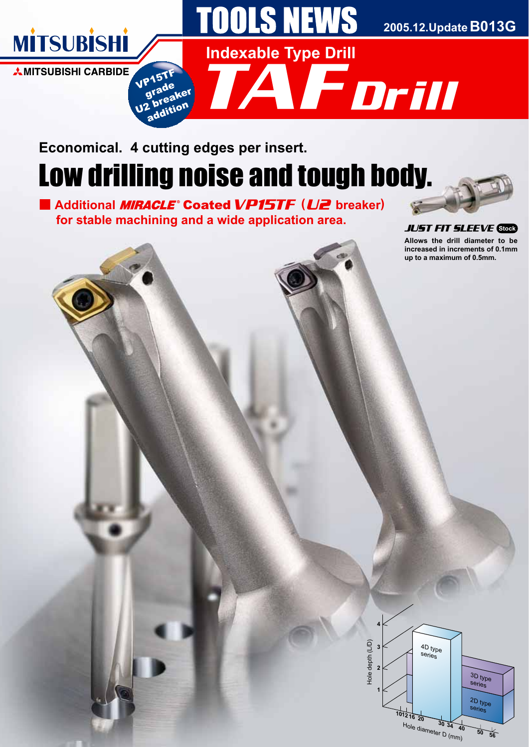

# Low drilling noise and tough body. **Economical. 4 cutting edges per insert.**

■ Additional *MIRACLE*<sup>®</sup> Coated VP15TF (U2 breaker)  **for stable machining and a wide application area.**



**Allows the drill diameter to be increased in increments of 0.1mm up to a maximum of 0.5mm.** JUST FIT SLEEVE **Stock**

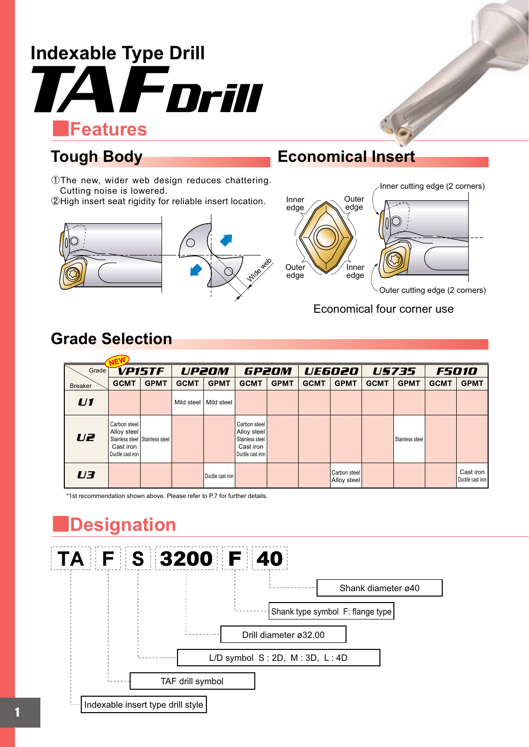

ŬThe new, wider web design reduces chattering. Cutting noise is lowered.

ŭHigh insert seat rigidity for reliable insert location.



## **Tough Body Economical Insert**



Outer cutting edge (2 corners)

Economical four corner use

# **Grade Selection**

| Grade          |                                                               | <b>VP15TF</b>                   |             | <b>UP20M</b>      |                                                                                    | GP2OM       |             | <b>UE6020</b>               |             | <b>US735</b>    |             | <b>F5010</b>                   |
|----------------|---------------------------------------------------------------|---------------------------------|-------------|-------------------|------------------------------------------------------------------------------------|-------------|-------------|-----------------------------|-------------|-----------------|-------------|--------------------------------|
| <b>Breaker</b> | <b>GCMT</b>                                                   | <b>GPMT</b>                     | <b>GCMT</b> | <b>GPMT</b>       | <b>GCMT</b>                                                                        | <b>GPMT</b> | <b>GCMT</b> | <b>GPMT</b>                 | <b>GCMT</b> | <b>GPMT</b>     | <b>GCMT</b> | <b>GPMT</b>                    |
| U1             |                                                               |                                 | Mild steel  | Mild steel        |                                                                                    |             |             |                             |             |                 |             |                                |
| U <sub>e</sub> | Carbon steel<br>Alloy steel<br>Cast iron<br>Ductile cast iron | Stainless steel Stainless steel |             |                   | Carbon steel<br>Alloy steel<br>Stainless steel<br>Cast iron<br>Ductile cast iron I |             |             |                             |             | Stainless steel |             |                                |
| U3             |                                                               |                                 |             | Ductile cast iron |                                                                                    |             |             | Carbon steel<br>Alloy steel |             |                 |             | Cast iron<br>Ductile cast iron |

\*1st recommendation shown above. Please refer to P.7 for further details.

# Ǘ**Designation**

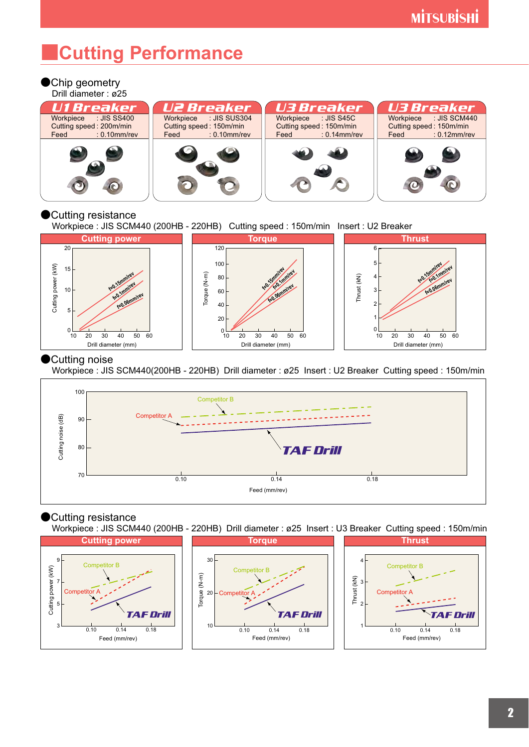# Ǘ**Cutting Performance**

## ●Chip geometry





### **Cutting resistance**

Workpiece : JIS SCM440 (200HB - 220HB) Cutting speed : 150m/min Insert : U2 Breaker



### Cutting noise

Workpiece : JIS SCM440(200HB - 220HB) Drill diameter : ø25 Insert : U2 Breaker Cutting speed : 150m/min



## Cutting resistance

Workpiece : JIS SCM440 (200HB - 220HB) Drill diameter : ø25 Insert : U3 Breaker Cutting speed : 150m/min

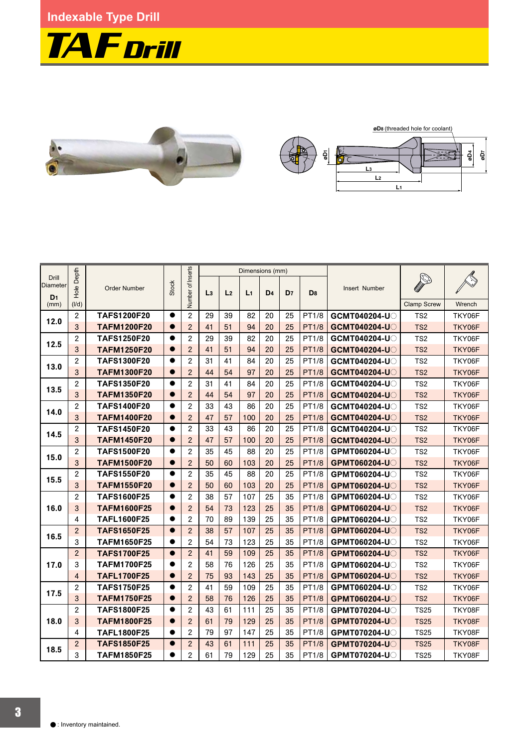**Indexable Type Drill** 





|                          |                |                     |              |                   | Dimensions (mm) |                |                |                |                |                |                     |                    |        |
|--------------------------|----------------|---------------------|--------------|-------------------|-----------------|----------------|----------------|----------------|----------------|----------------|---------------------|--------------------|--------|
| <b>Drill</b><br>Diameter | le Depth<br>혼  | <b>Order Number</b> | <b>Stock</b> | Number of Inserts | L <sub>3</sub>  | L <sub>2</sub> | L <sub>1</sub> | D <sub>4</sub> | D <sub>7</sub> | D <sub>8</sub> | Insert Number       |                    |        |
| D <sub>1</sub><br>(mm)   | (I/d)          |                     |              |                   |                 |                |                |                |                |                |                     | <b>Clamp Screw</b> | Wrench |
|                          | $\mathbf{2}$   | <b>TAFS1200F20</b>  | $\bullet$    | $\mathbf{2}$      | 29              | 39             | 82             | 20             | 25             | PT1/8          | GCMT040204-U        | TS <sub>2</sub>    | TKY06F |
| 12.0                     | 3              | <b>TAFM1200F20</b>  |              | $\overline{2}$    | 41              | 51             | 94             | 20             | 25             | <b>PT1/8</b>   | <b>GCMT040204-U</b> | TS <sub>2</sub>    | TKY06F |
| 12.5                     | $\mathbf{2}$   | <b>TAFS1250F20</b>  | $\bullet$    | $\overline{c}$    | 29              | 39             | 82             | 20             | 25             | PT1/8          | GCMT040204-U        | TS <sub>2</sub>    | TKY06F |
|                          | 3              | <b>TAFM1250F20</b>  | $\bullet$    | $\overline{2}$    | 41              | 51             | 94             | 20             | 25             | <b>PT1/8</b>   | GCMT040204-U        | TS <sub>2</sub>    | TKY06F |
| 13.0                     | $\overline{2}$ | <b>TAFS1300F20</b>  | $\bullet$    | $\mathbf{2}$      | 31              | 41             | 84             | 20             | 25             | PT1/8          | GCMT040204-UQ       | TS <sub>2</sub>    | TKY06F |
|                          | 3              | <b>TAFM1300F20</b>  | $\bullet$    | $\overline{c}$    | 44              | 54             | 97             | 20             | 25             | <b>PT1/8</b>   | <b>GCMT040204-U</b> | TS <sub>2</sub>    | TKY06F |
| 13.5                     | $\mathbf{2}$   | <b>TAFS1350F20</b>  | $\bullet$    | $\overline{c}$    | 31              | 41             | 84             | 20             | 25             | PT1/8          | GCMT040204-U        | TS <sub>2</sub>    | TKY06F |
|                          | 3              | <b>TAFM1350F20</b>  | $\bullet$    | $\overline{2}$    | 44              | 54             | 97             | 20             | 25             | <b>PT1/8</b>   | <b>GCMT040204-U</b> | TS <sub>2</sub>    | TKY06F |
| 14.0                     | $\mathbf{2}$   | <b>TAFS1400F20</b>  | $\bullet$    | $\overline{2}$    | 33              | 43             | 86             | 20             | 25             | PT1/8          | GCMT040204-U        | TS <sub>2</sub>    | TKY06F |
|                          | $\overline{3}$ | <b>TAFM1400F20</b>  | $\bullet$    | $\overline{2}$    | 47              | 57             | 100            | 20             | 25             | <b>PT1/8</b>   | <b>GCMT040204-U</b> | TS <sub>2</sub>    | TKY06F |
| 14.5                     | $\overline{2}$ | <b>TAFS1450F20</b>  | $\bullet$    | $\overline{c}$    | 33              | 43             | 86             | 20             | 25             | PT1/8          | GCMT040204-U        | TS <sub>2</sub>    | TKY06F |
|                          | 3              | <b>TAFM1450F20</b>  | $\bullet$    | $\overline{2}$    | 47              | 57             | 100            | 20             | 25             | <b>PT1/8</b>   | GCMT040204-U        | TS <sub>2</sub>    | TKY06F |
| 15.0                     | $\mathbf{2}$   | <b>TAFS1500F20</b>  | $\bullet$    | $\overline{2}$    | 35              | 45             | 88             | 20             | 25             | PT1/8          | GPMT060204-U        | TS <sub>2</sub>    | TKY06F |
|                          | 3              | <b>TAFM1500F20</b>  | $\bullet$    | $\overline{2}$    | 50              | 60             | 103            | 20             | 25             | <b>PT1/8</b>   | GPMT060204-UO       | TS <sub>2</sub>    | TKY06F |
| 15.5                     | $\mathbf{2}$   | <b>TAFS1550F20</b>  | $\bullet$    | $\overline{c}$    | 35              | 45             | 88             | 20             | 25             | PT1/8          | <b>GPMT060204-U</b> | TS <sub>2</sub>    | TKY06F |
|                          | 3              | <b>TAFM1550F20</b>  | $\bullet$    | $\overline{2}$    | 50              | 60             | 103            | 20             | 25             | <b>PT1/8</b>   | GPMT060204-U        | TS <sub>2</sub>    | TKY06F |
|                          | $\mathbf{2}$   | <b>TAFS1600F25</b>  | $\bullet$    | $\overline{2}$    | 38              | 57             | 107            | 25             | 35             | PT1/8          | GPMT060204-U        | TS <sub>2</sub>    | TKY06F |
| 16.0                     | $\mathbf{3}$   | <b>TAFM1600F25</b>  | $\bullet$    | $\overline{2}$    | 54              | 73             | 123            | 25             | 35             | <b>PT1/8</b>   | GPMT060204-U        | TS <sub>2</sub>    | TKY06F |
|                          | $\overline{4}$ | <b>TAFL1600F25</b>  |              | $\overline{c}$    | 70              | 89             | 139            | 25             | 35             | <b>PT1/8</b>   | <b>GPMT060204-U</b> | TS <sub>2</sub>    | TKY06F |
| 16.5                     | $\overline{2}$ | <b>TAFS1650F25</b>  | $\bullet$    | $\overline{2}$    | 38              | 57             | 107            | 25             | 35             | <b>PT1/8</b>   | GPMT060204-U        | TS <sub>2</sub>    | TKY06F |
|                          | 3              | <b>TAFM1650F25</b>  | $\bullet$    | $\overline{2}$    | 54              | 73             | 123            | 25             | 35             | PT1/8          | GPMT060204-U        | TS <sub>2</sub>    | TKY06F |
|                          | $\overline{2}$ | <b>TAFS1700F25</b>  | $\bullet$    | $\overline{2}$    | 41              | 59             | 109            | 25             | 35             | <b>PT1/8</b>   | GPMT060204-U        | TS <sub>2</sub>    | TKY06F |
| 17.0                     | 3              | <b>TAFM1700F25</b>  | $\bullet$    | $\overline{c}$    | 58              | 76             | 126            | 25             | 35             | PT1/8          | GPMT060204-UO       | TS <sub>2</sub>    | TKY06F |
|                          | $\overline{4}$ | <b>TAFL1700F25</b>  | $\bullet$    | $\overline{2}$    | 75              | 93             | 143            | 25             | 35             | <b>PT1/8</b>   | <b>GPMT060204-U</b> | TS <sub>2</sub>    | TKY06F |
| 17.5                     | $\mathbf{2}$   | <b>TAFS1750F25</b>  | $\bullet$    | $\overline{2}$    | 41              | 59             | 109            | 25             | 35             | PT1/8          | GPMT060204-U        | TS <sub>2</sub>    | TKY06F |
|                          | $\mathsf{3}$   | <b>TAFM1750F25</b>  | $\bullet$    | $\overline{2}$    | 58              | 76             | 126            | 25             | 35             | <b>PT1/8</b>   | <b>GPMT060204-U</b> | TS <sub>2</sub>    | TKY06F |
|                          | $\mathbf{2}$   | <b>TAFS1800F25</b>  | $\bullet$    | $\overline{2}$    | 43              | 61             | 111            | 25             | 35             | <b>PT1/8</b>   | <b>GPMT070204-U</b> | <b>TS25</b>        | TKY08F |
| 18.0                     | $\mathbf{3}$   | <b>TAFM1800F25</b>  | $\bullet$    | 2                 | 61              | 79             | 129            | 25             | 35             | <b>PT1/8</b>   | GPMT070204-U        | <b>TS25</b>        | TKY08F |
|                          | 4              | <b>TAFL1800F25</b>  | $\bullet$    | $\overline{2}$    | 79              | 97             | 147            | 25             | 35             | PT1/8          | GPMT070204-U        | <b>TS25</b>        | TKY08F |
| 18.5                     | $\overline{2}$ | <b>TAFS1850F25</b>  | $\bullet$    | $\overline{2}$    | 43              | 61             | 111            | 25             | 35             | <b>PT1/8</b>   | GPMT070204-U        | <b>TS25</b>        | TKY08F |
|                          | 3              | <b>TAFM1850F25</b>  | $\bullet$    | $\overline{2}$    | 61              | 79             | 129            | 25             | 35             | PT1/8          | GPMT070204-U        | <b>TS25</b>        | TKY08F |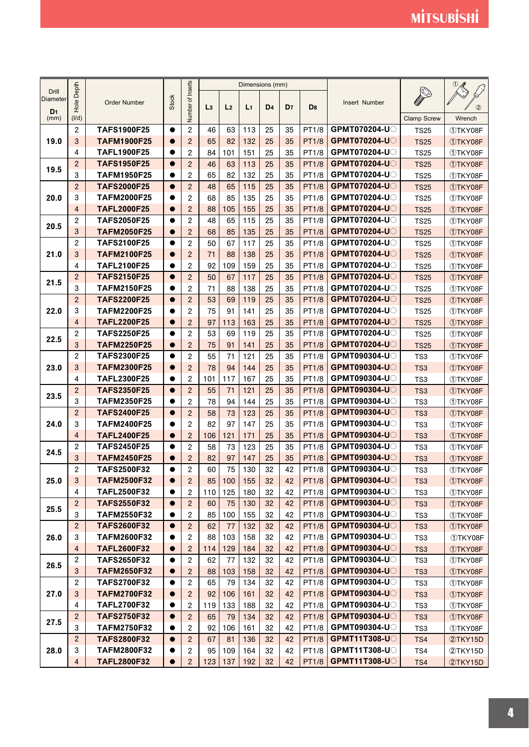|                                            |                     |                                          |                        |                   |                |                | Dimensions (mm) |                |                |                |                                            |                    |                 |
|--------------------------------------------|---------------------|------------------------------------------|------------------------|-------------------|----------------|----------------|-----------------|----------------|----------------|----------------|--------------------------------------------|--------------------|-----------------|
| <b>Drill</b><br>Diameter<br>D <sub>1</sub> | Depth<br>Hole I     | <b>Order Number</b>                      | <b>Stock</b>           | Number of Inserts | L <sub>3</sub> | L <sub>2</sub> | L <sub>1</sub>  | D <sub>4</sub> | D <sub>7</sub> | D <sub>8</sub> | Insert Number                              |                    |                 |
| (mm)                                       | (1/d)               |                                          |                        |                   |                |                |                 |                |                |                |                                            | <b>Clamp Screw</b> | Wrench          |
|                                            | $\overline{2}$      | <b>TAFS1900F25</b>                       | $\bullet$              | $\overline{c}$    | 46             | 63             | 113             | 25             | 35             | PT1/8          | GPMT070204-U                               | <b>TS25</b>        | 1TKY08F         |
| 19.0                                       | 3                   | <b>TAFM1900F25</b>                       | $\bullet$              | $\overline{2}$    | 65             | 82             | 132             | 25             | 35             | <b>PT1/8</b>   | GPMT070204-U                               | <b>TS25</b>        | <b>10TKY08F</b> |
|                                            | 4                   | <b>TAFL1900F25</b>                       |                        | $\mathbf{2}$      | 84             | 101            | 151             | 25             | 35             | PT1/8          | <b>GPMT070204-U</b>                        | <b>TS25</b>        | 1TKY08F         |
|                                            | $\overline{c}$      | <b>TAFS1950F25</b>                       | $\bullet$              | $\mathbf{2}$      | 46             | 63             | 113             | 25             | 35             | <b>PT1/8</b>   | <b>GPMT070204-U</b>                        | <b>TS25</b>        | 1TKY08F         |
| 19.5                                       | 3                   | <b>TAFM1950F25</b>                       | $\bullet$              | $\overline{2}$    | 65             | 82             | 132             | 25             | 35             | PT1/8          | <b>GPMT070204-U</b>                        | <b>TS25</b>        | 1TKY08F         |
|                                            | $\overline{2}$      | <b>TAFS2000F25</b>                       | $\bullet$              | $\overline{2}$    | 48             | 65             | 115             | 25             | 35             | <b>PT1/8</b>   | <b>GPMT070204-U</b>                        | <b>TS25</b>        | <b>10TKY08F</b> |
| 20.0                                       | 3                   | <b>TAFM2000F25</b>                       | $\bullet$              | 2                 | 68             | 85             | 135             | 25             | 35             | PT1/8          | GPMT070204-UO                              | <b>TS25</b>        | ①TKY08F         |
|                                            | 4                   | <b>TAFL2000F25</b>                       | $\bullet$              | $\overline{2}$    | 88             | 105            | 155             | 25             | 35             | <b>PT1/8</b>   | GPMT070204-U                               | <b>TS25</b>        | <b>10TKY08F</b> |
| 20.5                                       | $\overline{c}$      | <b>TAFS2050F25</b>                       | $\bullet$              | $\overline{c}$    | 48             | 65             | 115             | 25             | 35             | PT1/8          | <b>GPMT070204-U</b>                        | <b>TS25</b>        | 1TKY08F         |
|                                            | 3                   | <b>TAFM2050F25</b>                       | $\bullet$              | $\overline{2}$    | 68             | 85             | 135             | 25             | 35             | <b>PT1/8</b>   | <b>GPMT070204-U</b>                        | <b>TS25</b>        | <b>10TKY08F</b> |
|                                            | $\overline{2}$      | <b>TAFS2100F25</b>                       | $\bullet$              | $\overline{c}$    | 50             | 67             | 117             | 25             | 35             | PT1/8          | GPMT070204-UO                              | <b>TS25</b>        | 1TKY08F         |
| 21.0                                       | 3                   | <b>TAFM2100F25</b>                       |                        | $\overline{2}$    | 71             | 88             | 138             | 25             | 35             | <b>PT1/8</b>   | GPMT070204-UO                              | <b>TS25</b>        | 1TKY08F         |
|                                            | 4                   | <b>TAFL2100F25</b>                       | $\bullet$              | $\overline{c}$    | 92             | 109            | 159             | 25             | 35             | PT1/8          | <b>GPMT070204-U</b>                        | <b>TS25</b>        | 1TKY08F         |
| 21.5                                       | $\overline{2}$      | <b>TAFS2150F25</b>                       | $\bullet$              | $\overline{2}$    | 50             | 67             | 117             | 25             | 35             | <b>PT1/8</b>   | <b>GPMT070204-U</b>                        | <b>TS25</b>        | <b>10TKY08F</b> |
|                                            | 3                   | <b>TAFM2150F25</b>                       | $\bullet$              | $\mathbf{2}$      | 71             | 88             | 138             | 25             | 35             | PT1/8          | <b>GPMT070204-U</b>                        | <b>TS25</b>        | 1TKY08F         |
|                                            | $\overline{2}$      | <b>TAFS2200F25</b>                       | $\bullet$              | $\mathbf{2}$      | 53             | 69             | 119             | 25             | 35             | <b>PT1/8</b>   | GPMT070204-UO                              | <b>TS25</b>        | <b>10TKY08F</b> |
| 22.0                                       | 3                   | <b>TAFM2200F25</b>                       |                        | $\mathbf{2}$      | 75             | 91             | 141             | 25             | 35             | PT1/8          | GPMT070204-U                               | <b>TS25</b>        | 1TKY08F         |
|                                            | $\overline{4}$      | <b>TAFL2200F25</b>                       | $\bullet$              | $\overline{c}$    | 97             | 113            | 163             | 25             | 35             | <b>PT1/8</b>   | <b>GPMT070204-U</b>                        | <b>TS25</b>        | <b>10TKY08F</b> |
| 22.5                                       | 2                   | <b>TAFS2250F25</b>                       | $\bullet$              | $\mathbf{2}$      | 53             | 69             | 119             | 25             | 35             | PT1/8          | GPMT070204-UO                              | <b>TS25</b>        | 1TKY08F         |
|                                            | 3                   | <b>TAFM2250F25</b>                       | $\bullet$              | $\overline{2}$    | 75             | 91             | 141             | 25             | 35             | <b>PT1/8</b>   | <b>GPMT070204-U</b>                        | <b>TS25</b>        | <b>10TKY08F</b> |
|                                            | $\overline{c}$      | <b>TAFS2300F25</b>                       | $\bullet$              | $\overline{c}$    | 55             | 71             | 121             | 25             | 35             | PT1/8          | GPMT090304-U                               | TS <sub>3</sub>    | 1TKY08F         |
| 23.0                                       | 3                   | <b>TAFM2300F25</b>                       | $\bullet$              | $\overline{2}$    | 78             | 94             | 144             | 25             | 35             | <b>PT1/8</b>   | GPMT090304-UO                              | TS <sub>3</sub>    | <b>10TKY08F</b> |
|                                            | 4                   | <b>TAFL2300F25</b>                       | $\bullet$              | $\overline{c}$    | 101            | 117            | 167             | 25             | 35             | PT1/8          | GPMT090304-U                               | TS3                | 1TKY08F         |
| 23.5                                       | $\overline{c}$      | <b>TAFS2350F25</b>                       | $\bullet$              | $\mathbf{2}$      | 55             | 71             | 121             | 25             | 35             | <b>PT1/8</b>   | GPMT090304-U                               | TS <sub>3</sub>    | <b>10TKY08F</b> |
|                                            | 3                   | <b>TAFM2350F25</b>                       | $\bullet$              | $\overline{c}$    | 78             | 94             | 144             | 25             | 35             | PT1/8          | GPMT090304-U                               | TS3                | 1TKY08F         |
|                                            | $\overline{2}$      | <b>TAFS2400F25</b>                       | $\bullet$              | $\overline{2}$    | 58             | 73             | 123             | 25             | 35             | <b>PT1/8</b>   | GPMT090304-UO                              | TS <sub>3</sub>    | <b>10TKY08F</b> |
| 24.0                                       | 3                   | <b>TAFM2400F25</b>                       |                        | $\overline{c}$    | 82             | 97             | 147             | 25             | 35             | PT1/8          | GPMT090304-U                               | TS3                | 1TKY08F         |
|                                            | $\overline{4}$      | <b>TAFL2400F25</b>                       | $\bullet$              | $\overline{2}$    | 106            | 121            | 171             | 25             | 35             | <b>PT1/8</b>   | <b>GPMT090304-U</b>                        | TS <sub>3</sub>    | <b>10TKY08F</b> |
| 24.5                                       | $\overline{c}$      | <b>TAFS2450F25</b>                       | $\bullet$              | $\overline{2}$    | 58             | 73             | 123             | 25             | 35             | PT1/8          | GPMT090304-U                               | TS <sub>3</sub>    | 1TKY08F         |
|                                            | 3                   | <b>TAFM2450F25</b>                       | $\bullet$              | $\overline{c}$    | 82             | 97             | 147             | 25             | 35             | <b>PT1/8</b>   | <b>GPMT090304-U</b>                        | TS <sub>3</sub>    | <b>10TKY08F</b> |
|                                            | $\overline{2}$      | <b>TAFS2500F32</b>                       | $\bullet$              | $\overline{c}$    | 60             | 75             | 130             | 32             | 42             | PT1/8          | GPMT090304-UO                              | TS <sub>3</sub>    | 1TKY08F         |
| 25.0                                       | 3                   | <b>TAFM2500F32</b>                       | $\bullet$              | $\mathbf{2}$      | 85             | 100            | 155             | 32             | 42             | <b>PT1/8</b>   | <b>GPMT090304-U</b>                        | TS <sub>3</sub>    | <b>1DTKY08F</b> |
|                                            | 4                   | <b>TAFL2500F32</b>                       | $\bullet$              | $\overline{c}$    | 110            | 125            | 180             | 32             | 42             | PT1/8          | <b>GPMT090304-U</b>                        | TS3                | 1TKY08F         |
| 25.5                                       | $\overline{2}$      | <b>TAFS2550F32</b>                       | $\bullet$              | $\overline{c}$    | 60             | 75             | 130             | 32             | 42             | <b>PT1/8</b>   | <b>GPMT090304-U</b>                        | TS <sub>3</sub>    | <b>10TKY08F</b> |
|                                            | 3                   | <b>TAFM2550F32</b>                       |                        | $\sqrt{2}$        | 85             | 100            | 155             | 32             | 42             | PT1/8          | <b>GPMT090304-U</b>                        | TS3                | 1TKY08F         |
|                                            | $\overline{2}$      | <b>TAFS2600F32</b>                       | $\bullet$              | $\mathbf{2}$      | 62             | 77             | 132             | 32             | 42             | <b>PT1/8</b>   | <b>GPMT090304-U</b>                        | TS <sub>3</sub>    | <b>10TKY08F</b> |
| 26.0                                       | 3                   | <b>TAFM2600F32</b>                       | $\bullet$              | $\overline{2}$    | 88             | 103            | 158             | 32             | 42             | PT1/8          | <b>GPMT090304-U</b>                        | TS3                | 1TKY08F         |
|                                            | $\overline{4}$      | <b>TAFL2600F32</b>                       | $\bullet$              | $\overline{2}$    | 114            | 129            | 184             | 32             | 42             | <b>PT1/8</b>   | <b>GPMT090304-U</b>                        | TS <sub>3</sub>    | <b>10TKY08F</b> |
| 26.5                                       | 2                   | <b>TAFS2650F32</b>                       | $\bullet$              | $\overline{c}$    | 62             | 77             | 132             | 32             | 42             | PT1/8          | <b>GPMT090304-U</b>                        | TS3                | 1TKY08F         |
|                                            | 3                   | <b>TAFM2650F32</b>                       | $\bullet$              | $\overline{c}$    | 88             | 103            | 158             | 32             | 42             | <b>PT1/8</b>   | <b>GPMT090304-U</b>                        | TS <sub>3</sub>    | <b>10TKY08F</b> |
|                                            | 2                   | <b>TAFS2700F32</b>                       | $\bullet$              | $\overline{2}$    | 65             | 79             | 134             | 32             | 42             | PT1/8          | <b>GPMT090304-U</b>                        | TS3                | 1TKY08F         |
| 27.0                                       | 3                   | <b>TAFM2700F32</b>                       | $\bullet$              | $\overline{c}$    | 92             | 106            | 161             | 32             | 42             | PT1/8          | <b>GPMT090304-U</b>                        | TS <sub>3</sub>    | <b>1TKY08F</b>  |
|                                            | 4                   | <b>TAFL2700F32</b>                       |                        | $\sqrt{2}$        | 119            | 133            | 188             | 32             | 42             | PT1/8          | GPMT090304-UO                              | TS3                | 1TKY08F         |
| 27.5                                       | $\overline{c}$      | <b>TAFS2750F32</b>                       | $\bullet$              | $\overline{2}$    | 65             | 79             | 134             | 32             | 42             | <b>PT1/8</b>   | <b>GPMT090304-U</b><br><b>GPMT090304-U</b> | TS <sub>3</sub>    | <b>10TKY08F</b> |
|                                            | 3<br>$\overline{2}$ | <b>TAFM2750F32</b><br><b>TAFS2800F32</b> | $\bullet$<br>$\bullet$ | $\overline{c}$    | 92             | 106            | 161             | 32             | 42             | PT1/8          | <b>GPMT11T308-UO</b>                       | TS3                | 1TKY08F         |
|                                            | 3                   | <b>TAFM2800F32</b>                       | $\bullet$              | $\overline{2}$    | 67             | 81             | 136             | 32             | 42             | <b>PT1/8</b>   | <b>GPMT11T308-U</b>                        | TS4                | 2TKY15D         |
| 28.0                                       |                     |                                          |                        | 2                 | 95             | 109            | 164             | 32             | 42             | PT1/8          | <b>GPMT11T308-U</b>                        | TS4                | 2TKY15D         |
|                                            | 4                   | <b>TAFL2800F32</b>                       | $\bullet$              | $\overline{2}$    | 123            | 137            | 192             | 32             | 42             | <b>PT1/8</b>   |                                            | TS4                | 2TKY15D         |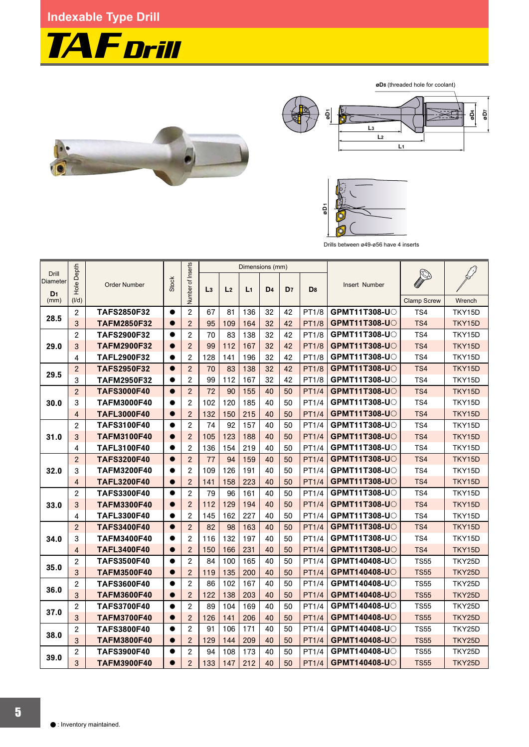## **Indexable Type Drill**



øD8 (threaded hole for coolant)







Drills between ø49-ø56 have 4 inserts

|                                            | Depth          |                     |              |                   |                |                | Dimensions (mm) |                |                |                |                       |                    |        |
|--------------------------------------------|----------------|---------------------|--------------|-------------------|----------------|----------------|-----------------|----------------|----------------|----------------|-----------------------|--------------------|--------|
| Drill<br><b>Diameter</b><br>D <sub>1</sub> | Hole           | <b>Order Number</b> | <b>Stock</b> | Number of Inserts | L <sub>3</sub> | L <sub>2</sub> | L <sub>1</sub>  | D <sub>4</sub> | D <sub>7</sub> | D <sub>8</sub> | Insert Number         |                    |        |
| (mm)                                       | (I/d)          |                     |              |                   |                |                |                 |                |                |                |                       | <b>Clamp Screw</b> | Wrench |
| 28.5                                       | $\overline{c}$ | <b>TAFS2850F32</b>  | $\bullet$    | $\overline{2}$    | 67             | 81             | 136             | 32             | 42             | PT1/8          | <b>GPMT11T308-U</b>   | TS4                | TKY15D |
|                                            | 3              | <b>TAFM2850F32</b>  | $\bullet$    | $\overline{2}$    | 95             | 109            | 164             | 32             | 42             | <b>PT1/8</b>   | <b>GPMT11T308-U</b>   | TS4                | TKY15D |
|                                            | $\overline{c}$ | <b>TAFS2900F32</b>  | $\bullet$    | $\overline{2}$    | 70             | 83             | 138             | 32             | 42             | <b>PT1/8</b>   | <b>GPMT11T308-U</b> C | TS4                | TKY15D |
| 29.0                                       | 3              | <b>TAFM2900F32</b>  | $\bullet$    | $\overline{2}$    | 99             | 112            | 167             | 32             | 42             | <b>PT1/8</b>   | <b>GPMT11T308-UO</b>  | TS4                | TKY15D |
|                                            | 4              | <b>TAFL2900F32</b>  | $\bullet$    | $\overline{c}$    | 128            | 141            | 196             | 32             | 42             | PT1/8          | <b>GPMT11T308-U</b>   | TS4                | TKY15D |
| 29.5                                       | $\overline{2}$ | <b>TAFS2950F32</b>  | $\bullet$    | $\overline{2}$    | 70             | 83             | 138             | 32             | 42             | <b>PT1/8</b>   | <b>GPMT11T308-U</b>   | TS4                | TKY15D |
|                                            | 3              | <b>TAFM2950F32</b>  | $\bullet$    | $\mathbf{2}$      | 99             | 112            | 167             | 32             | 42             | <b>PT1/8</b>   | <b>GPMT11T308-U</b>   | TS4                | TKY15D |
|                                            | $\overline{2}$ | <b>TAFS3000F40</b>  | $\bullet$    | $\overline{2}$    | 72             | 90             | 155             | 40             | 50             | <b>PT1/4</b>   | <b>GPMT11T308-U</b>   | TS4                | TKY15D |
| 30.0                                       | 3              | <b>TAFM3000F40</b>  | $\bullet$    | $\overline{2}$    | 102            | 120            | 185             | 40             | 50             | PT1/4          | <b>GPMT11T308-U</b>   | TS4                | TKY15D |
|                                            | $\overline{4}$ | <b>TAFL3000F40</b>  | $\bullet$    | $\overline{2}$    | 132            | 150            | 215             | 40             | 50             | PT1/4          | <b>GPMT11T308-U</b>   | TS4                | TKY15D |
|                                            | $\overline{c}$ | <b>TAFS3100F40</b>  | $\bullet$    | $\mathbf{2}$      | 74             | 92             | 157             | 40             | 50             | PT1/4          | <b>GPMT11T308-U</b>   | TS4                | TKY15D |
| 31.0                                       | 3              | <b>TAFM3100F40</b>  | $\bullet$    | $\overline{2}$    | 105            | 123            | 188             | 40             | 50             | <b>PT1/4</b>   | <b>GPMT11T308-U</b>   | TS4                | TKY15D |
|                                            | 4              | <b>TAFL3100F40</b>  | $\bullet$    | $\overline{2}$    | 136            | 154            | 219             | 40             | 50             | PT1/4          | <b>GPMT11T308-UO</b>  | TS4                | TKY15D |
|                                            | $\overline{2}$ | <b>TAFS3200F40</b>  | $\bullet$    | $\overline{2}$    | 77             | 94             | 159             | 40             | 50             | <b>PT1/4</b>   | <b>GPMT11T308-UO</b>  | TS4                | TKY15D |
| 32.0                                       | 3              | <b>TAFM3200F40</b>  |              | $\overline{2}$    | 109            | 126            | 191             | 40             | 50             | PT1/4          | <b>GPMT11T308-UO</b>  | TS4                | TKY15D |
|                                            | $\overline{4}$ | <b>TAFL3200F40</b>  | $\bullet$    | $\overline{2}$    | 141            | 158            | 223             | 40             | 50             | <b>PT1/4</b>   | <b>GPMT11T308-U</b>   | TS4                | TKY15D |
|                                            | $\overline{c}$ | <b>TAFS3300F40</b>  | $\bullet$    | $\overline{2}$    | 79             | 96             | 161             | 40             | 50             | PT1/4          | <b>GPMT11T308-U</b>   | TS4                | TKY15D |
| 33.0                                       | 3              | <b>TAFM3300F40</b>  | $\bullet$    | $\overline{2}$    | 112            | 129            | 194             | 40             | 50             | <b>PT1/4</b>   | <b>GPMT11T308-UO</b>  | TS4                | TKY15D |
|                                            | 4              | <b>TAFL3300F40</b>  | $\bullet$    | $\overline{2}$    | 145            | 162            | 227             | 40             | 50             | PT1/4          | <b>GPMT11T308-UO</b>  | TS4                | TKY15D |
|                                            | $\overline{2}$ | <b>TAFS3400F40</b>  | $\bullet$    | $\overline{2}$    | 82             | 98             | 163             | 40             | 50             | PT1/4          | <b>GPMT11T308-UO</b>  | TS4                | TKY15D |
| 34.0                                       | 3              | <b>TAFM3400F40</b>  | $\bullet$    | $\overline{2}$    | 116            | 132            | 197             | 40             | 50             | PT1/4          | <b>GPMT11T308-U</b>   | TS4                | TKY15D |
|                                            | $\overline{4}$ | <b>TAFL3400F40</b>  | $\bullet$    | $\overline{2}$    | 150            | 166            | 231             | 40             | 50             | PT1/4          | <b>GPMT11T308-U</b>   | TS4                | TKY15D |
|                                            | $\overline{2}$ | <b>TAFS3500F40</b>  | $\bullet$    | $\overline{2}$    | 84             | 100            | 165             | 40             | 50             | PT1/4          | <b>GPMT140408-U</b>   | <b>TS55</b>        | TKY25D |
| 35.0                                       | 3              | <b>TAFM3500F40</b>  | $\bullet$    | $\overline{2}$    | 119            | 135            | 200             | 40             | 50             | <b>PT1/4</b>   | GPMT140408-UO         | <b>TS55</b>        | TKY25D |
|                                            | $\overline{c}$ | <b>TAFS3600F40</b>  | $\bullet$    | $\overline{2}$    | 86             | 102            | 167             | 40             | 50             | PT1/4          | GPMT140408-U          | <b>TS55</b>        | TKY25D |
| 36.0                                       | 3              | <b>TAFM3600F40</b>  | $\bullet$    | $\overline{2}$    | 122            | 138            | 203             | 40             | 50             | <b>PT1/4</b>   | <b>GPMT140408-U</b>   | <b>TS55</b>        | TKY25D |
|                                            | $\overline{c}$ | <b>TAFS3700F40</b>  | $\bullet$    | $\overline{2}$    | 89             | 104            | 169             | 40             | 50             | PT1/4          | <b>GPMT140408-U</b>   | <b>TS55</b>        | TKY25D |
| 37.0                                       | 3              | <b>TAFM3700F40</b>  | $\bullet$    | $\overline{2}$    | 126            | 141            | 206             | 40             | 50             | <b>PT1/4</b>   | <b>GPMT140408-U</b>   | <b>TS55</b>        | TKY25D |
|                                            | $\overline{c}$ | <b>TAFS3800F40</b>  | $\bullet$    | $\overline{2}$    | 91             | 106            | 171             | 40             | 50             | PT1/4          | <b>GPMT140408-U</b>   | <b>TS55</b>        | TKY25D |
| 38.0                                       | 3              | <b>TAFM3800F40</b>  | $\bullet$    | $\overline{2}$    | 129            | 144            | 209             | 40             | 50             | PT1/4          | <b>GPMT140408-U</b>   | <b>TS55</b>        | TKY25D |
|                                            | $\overline{2}$ | <b>TAFS3900F40</b>  | $\bullet$    | $\overline{2}$    | 94             | 108            | 173             | 40             | 50             | PT1/4          | <b>GPMT140408-U</b>   | <b>TS55</b>        | TKY25D |
| 39.0                                       | 3              | <b>TAFM3900F40</b>  | $\bullet$    | $\overline{2}$    | 133            | 147            | 212             | 40             | 50             | <b>PT1/4</b>   | <b>GPMT140408-U</b>   | <b>TS55</b>        | TKY25D |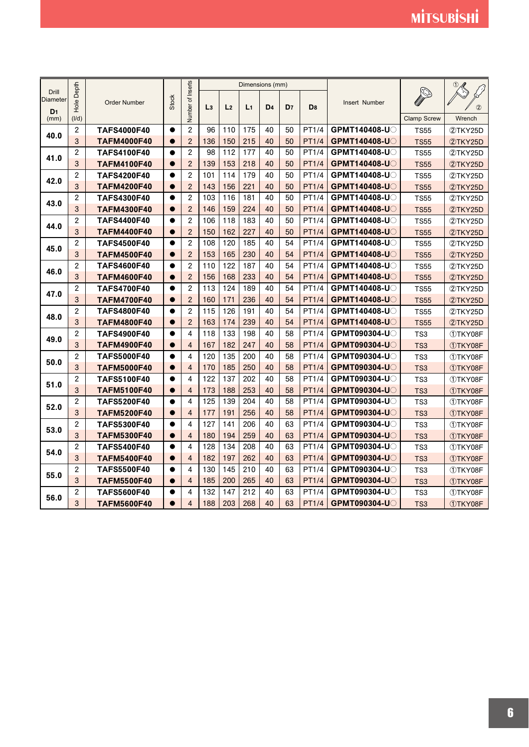|                          | Depth                   |                     |              |                   |                |                | Dimensions (mm) |                |                |                |                     |                    |         |
|--------------------------|-------------------------|---------------------|--------------|-------------------|----------------|----------------|-----------------|----------------|----------------|----------------|---------------------|--------------------|---------|
| Drill<br><b>Diameter</b> |                         |                     | <b>Stock</b> | Number of Inserts |                |                |                 |                |                |                |                     |                    |         |
| D <sub>1</sub>           | Hole                    | <b>Order Number</b> |              |                   | L <sub>3</sub> | L <sub>2</sub> | L <sub>1</sub>  | D <sub>4</sub> | D <sub>7</sub> | D <sub>8</sub> | Insert Number       |                    | (2)     |
| (mm)                     | (1/d)                   |                     |              |                   |                |                |                 |                |                |                |                     | <b>Clamp Screw</b> | Wrench  |
| 40.0                     | $\overline{c}$          | <b>TAFS4000F40</b>  | $\bullet$    | $\overline{c}$    | 96             | 110            | 175             | 40             | 50             | PT1/4          | GPMT140408-U        | <b>TS55</b>        | 2TKY25D |
|                          | 3                       | <b>TAFM4000F40</b>  | $\bullet$    | $\overline{2}$    | 136            | 150            | 215             | 40             | 50             | PT1/4          | <b>GPMT140408-U</b> | <b>TS55</b>        | 2TKY25D |
| 41.0                     | $\overline{2}$          | <b>TAFS4100F40</b>  | $\bullet$    | $\overline{2}$    | 98             | 112            | 177             | 40             | 50             | PT1/4          | <b>GPMT140408-U</b> | <b>TS55</b>        | 2TKY25D |
|                          | 3                       | <b>TAFM4100F40</b>  | $\bullet$    | $\overline{2}$    | 139            | 153            | 218             | 40             | 50             | <b>PT1/4</b>   | <b>GPMT140408-U</b> | <b>TS55</b>        | 2TKY25D |
| 42.0                     | $\overline{c}$          | <b>TAFS4200F40</b>  | $\bullet$    | $\overline{2}$    | 101            | 114            | 179             | 40             | 50             | PT1/4          | GPMT140408-U        | <b>TS55</b>        | 2TKY25D |
|                          | 3                       | <b>TAFM4200F40</b>  | $\bullet$    | $\overline{2}$    | 143            | 156            | 221             | 40             | 50             | <b>PT1/4</b>   | <b>GPMT140408-U</b> | <b>TS55</b>        | 2TKY25D |
| 43.0                     | $\overline{c}$          | <b>TAFS4300F40</b>  | $\bullet$    | $\overline{2}$    | 103            | 116            | 181             | 40             | 50             | PT1/4          | GPMT140408-U        | <b>TS55</b>        | 2TKY25D |
|                          | 3                       | <b>TAFM4300F40</b>  | $\bullet$    | $\overline{2}$    | 146            | 159            | 224             | 40             | 50             | <b>PT1/4</b>   | <b>GPMT140408-U</b> | <b>TS55</b>        | 2TKY25D |
| 44.0                     | $\overline{c}$          | <b>TAFS4400F40</b>  | $\bullet$    | $\overline{2}$    | 106            | 118            | 183             | 40             | 50             | PT1/4          | <b>GPMT140408-U</b> | <b>TS55</b>        | 2TKY25D |
|                          | 3                       | <b>TAFM4400F40</b>  | $\bullet$    | $\overline{2}$    | 150            | 162            | 227             | 40             | 50             | PT1/4          | GPMT140408-UO       | <b>TS55</b>        | 2TKY25D |
| 45.0                     | $\overline{c}$          | <b>TAFS4500F40</b>  | $\bullet$    | $\overline{2}$    | 108            | 120            | 185             | 40             | 54             | PT1/4          | GPMT140408-U        | <b>TS55</b>        | 2TKY25D |
|                          | 3                       | <b>TAFM4500F40</b>  | $\bullet$    | $\overline{2}$    | 153            | 165            | 230             | 40             | 54             | <b>PT1/4</b>   | GPMT140408-UO       | <b>TS55</b>        | 2TKY25D |
| 46.0                     | $\overline{c}$          | <b>TAFS4600F40</b>  | $\bullet$    | $\overline{2}$    | 110            | 122            | 187             | 40             | 54             | PT1/4          | GPMT140408-U        | <b>TS55</b>        | 2TKY25D |
|                          | 3                       | <b>TAFM4600F40</b>  | $\bullet$    | $\overline{2}$    | 156            | 168            | 233             | 40             | 54             | PT1/4          | <b>GPMT140408-U</b> | <b>TS55</b>        | 2TKY25D |
| 47.0                     | $\overline{c}$          | <b>TAFS4700F40</b>  | $\bullet$    | $\overline{2}$    | 113            | 124            | 189             | 40             | 54             | PT1/4          | <b>GPMT140408-U</b> | <b>TS55</b>        | 2TKY25D |
|                          | 3                       | <b>TAFM4700F40</b>  | $\bullet$    | $\overline{2}$    | 160            | 171            | 236             | 40             | 54             | PT1/4          | <b>GPMT140408-U</b> | <b>TS55</b>        | 2TKY25D |
| 48.0                     | $\overline{c}$          | <b>TAFS4800F40</b>  | $\bullet$    | $\overline{2}$    | 115            | 126            | 191             | 40             | 54             | PT1/4          | GPMT140408-U        | <b>TS55</b>        | 2TKY25D |
|                          | 3                       | <b>TAFM4800F40</b>  | $\bullet$    | $\overline{2}$    | 163            | 174            | 239             | 40             | 54             | <b>PT1/4</b>   | <b>GPMT140408-U</b> | <b>TS55</b>        | 2TKY25D |
| 49.0                     | $\overline{\mathbf{c}}$ | <b>TAFS4900F40</b>  | $\bullet$    | 4                 | 118            | 133            | 198             | 40             | 58             | PT1/4          | GPMT090304-U        | TS3                | 1TKY08F |
|                          | 3                       | <b>TAFM4900F40</b>  | $\bullet$    | $\overline{4}$    | 167            | 182            | 247             | 40             | 58             | <b>PT1/4</b>   | <b>GPMT090304-U</b> | TS <sub>3</sub>    | 1TKY08F |
| 50.0                     | $\overline{\mathbf{c}}$ | <b>TAFS5000F40</b>  | $\bullet$    | 4                 | 120            | 135            | 200             | 40             | 58             | PT1/4          | <b>GPMT090304-U</b> | TS3                | 1TKY08F |
|                          | 3                       | <b>TAFM5000F40</b>  | $\bullet$    | 4                 | 170            | 185            | 250             | 40             | 58             | PT1/4          | GPMT090304-UO       | TS <sub>3</sub>    | 1TKY08F |
| 51.0                     | $\overline{c}$          | <b>TAFS5100F40</b>  | $\bullet$    | 4                 | 122            | 137            | 202             | 40             | 58             | PT1/4          | <b>GPMT090304-U</b> | TS <sub>3</sub>    | 1TKY08F |
|                          | 3                       | <b>TAFM5100F40</b>  |              | $\overline{4}$    | 173            | 188            | 253             | 40             | 58             | PT1/4          | GPMT090304-U        | TS <sub>3</sub>    | 1TKY08F |
| 52.0                     | $\overline{\mathbf{c}}$ | <b>TAFS5200F40</b>  | $\bullet$    | 4                 | 125            | 139            | 204             | 40             | 58             | PT1/4          | <b>GPMT090304-U</b> | TS3                | 1TKY08F |
|                          | 3                       | <b>TAFM5200F40</b>  | $\bullet$    | $\overline{4}$    | 177            | 191            | 256             | 40             | 58             | <b>PT1/4</b>   | <b>GPMT090304-U</b> | TS <sub>3</sub>    | 1TKY08F |
| 53.0                     | $\overline{c}$          | <b>TAFS5300F40</b>  | $\bullet$    | 4                 | 127            | 141            | 206             | 40             | 63             | PT1/4          | <b>GPMT090304-U</b> | TS3                | 1TKY08F |
|                          | 3                       | <b>TAFM5300F40</b>  | $\bullet$    | $\overline{4}$    | 180            | 194            | 259             | 40             | 63             | PT1/4          | <b>GPMT090304-U</b> | TS <sub>3</sub>    | 1TKY08F |
| 54.0                     | $\overline{c}$          | <b>TAFS5400F40</b>  | $\bullet$    | 4                 | 128            | 134            | 208             | 40             | 63             | PT1/4          | GPMT090304-U        | TS <sub>3</sub>    | 1TKY08F |
|                          | 3                       | <b>TAFM5400F40</b>  | $\bullet$    | $\overline{4}$    | 182            | 197            | 262             | 40             | 63             | <b>PT1/4</b>   | <b>GPMT090304-U</b> | TS <sub>3</sub>    | 1TKY08F |
| 55.0                     | $\overline{\mathbf{c}}$ | <b>TAFS5500F40</b>  | $\bullet$    | 4                 | 130            | 145            | 210             | 40             | 63             | PT1/4          | GPMT090304-UO       | TS3                | 1TKY08F |
|                          | 3                       | <b>TAFM5500F40</b>  | $\bullet$    | $\overline{4}$    | 185            | 200            | 265             | 40             | 63             | <b>PT1/4</b>   | <b>GPMT090304-U</b> | TS <sub>3</sub>    | 1TKY08F |
| 56.0                     | $\overline{c}$          | <b>TAFS5600F40</b>  | $\bullet$    | 4                 | 132            | 147            | 212             | 40             | 63             | PT1/4          | <b>GPMT090304-U</b> | TS3                | 1TKY08F |
|                          | 3                       | <b>TAFM5600F40</b>  | $\bullet$    | $\overline{4}$    | 188            | 203            | 268             | 40             | 63             | <b>PT1/4</b>   | <b>GPMT090304-U</b> | TS <sub>3</sub>    | 1TKY08F |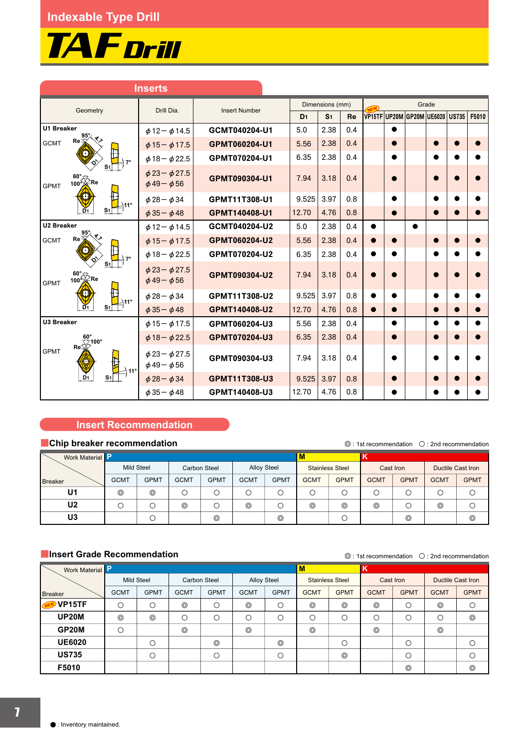

|                                                                      | <b>Inserts</b>                                   |                      |                |                 |     |                                 |           |           |           |       |
|----------------------------------------------------------------------|--------------------------------------------------|----------------------|----------------|-----------------|-----|---------------------------------|-----------|-----------|-----------|-------|
| Geometry                                                             | Drill Dia.                                       | <b>Insert Number</b> |                | Dimensions (mm) |     |                                 |           |           | Grade     |       |
|                                                                      |                                                  |                      | D <sub>1</sub> | S <sub>1</sub>  | Re  | VP15TF UP20M GP20M UE6020 US735 |           |           |           | F5010 |
| <b>U1 Breaker</b>                                                    | $\phi$ 12 - $\phi$ 14.5                          | GCMT040204-U1        | 5.0            | 2.38            | 0.4 |                                 | $\bullet$ |           |           |       |
| $Re \leq$<br><b>GCMT</b>                                             | $\phi$ 15 - $\phi$ 17.5                          | GPMT060204-U1        | 5.56           | 2.38            | 0.4 |                                 |           |           | $\bullet$ |       |
|                                                                      | $\phi$ 18 - $\phi$ 22.5                          | GPMT070204-U1        | 6.35           | 2.38            | 0.4 |                                 |           |           |           |       |
| $\begin{matrix} 60^\circ\\ 100^\circ \end{matrix}$ Re<br><b>GPMT</b> | $\phi$ 23 - $\phi$ 27.5<br>$\phi$ 49 - $\phi$ 56 | GPMT090304-U1        | 7.94           | 3.18            | 0.4 |                                 |           |           |           |       |
|                                                                      | $\phi$ 28 - $\phi$ 34                            | GPMT11T308-U1        | 9.525          | 3.97            | 0.8 |                                 |           |           |           |       |
| D1                                                                   | $\phi$ 35 - $\phi$ 48                            | GPMT140408-U1        | 12.70          | 4.76            | 0.8 |                                 | $\bullet$ |           | $\bullet$ |       |
| <b>U2 Breaker</b>                                                    | $\phi$ 12 - $\phi$ 14.5                          | GCMT040204-U2        | 5.0            | 2.38            | 0.4 | $\bullet$                       |           | $\bullet$ |           |       |
| $Re \times$<br><b>GCMT</b>                                           | $\phi$ 15 - $\phi$ 17.5                          | GPMT060204-U2        | 5.56           | 2.38            | 0.4 |                                 |           |           |           |       |
|                                                                      | $\phi$ 18 - $\phi$ 22.5                          | GPMT070204-U2        | 6.35           | 2.38            | 0.4 | $\bullet$                       |           |           |           |       |
| $\frac{60^{\circ}}{100^{\circ}}$ Re<br><b>GPMT</b>                   | $\phi$ 23 - $\phi$ 27.5<br>$\phi$ 49 - $\phi$ 56 | GPMT090304-U2        | 7.94           | 3.18            | 0.4 |                                 |           |           |           |       |
|                                                                      | $\phi$ 28 - $\phi$ 34                            | GPMT11T308-U2        | 9.525          | 3.97            | 0.8 | $\bullet$                       |           |           |           |       |
| $\mathbf{D}$ <sub>1</sub>                                            | $\phi$ 35 - $\phi$ 48                            | GPMT140408-U2        | 12.70          | 4.76            | 0.8 | $\bullet$                       | $\bullet$ |           | $\bullet$ |       |
| <b>U3 Breaker</b>                                                    | $\phi$ 15 - $\phi$ 17.5                          | GPMT060204-U3        | 5.56           | 2.38            | 0.4 |                                 |           |           |           |       |
| $Re\overline{\bigtimes}^{100^\circ}$                                 | $\phi$ 18 - $\phi$ 22.5                          | GPMT070204-U3        | 6.35           | 2.38            | 0.4 |                                 |           |           |           |       |
| <b>GPMT</b>                                                          | $\phi$ 23 - $\phi$ 27.5<br>$\phi$ 49 - $\phi$ 56 | GPMT090304-U3        | 7.94           | 3.18            | 0.4 |                                 |           |           |           |       |
| D <sub>1</sub>                                                       | $\phi$ 28 - $\phi$ 34                            | GPMT11T308-U3        | 9.525          | 3.97            | 0.8 |                                 |           |           |           |       |
|                                                                      | $\phi$ 35 - $\phi$ 48                            | GPMT140408-U3        | 12.70          | 4.76            | 0.8 |                                 |           |           |           |       |

### **Insert Recommendation**

### Ǘ**Chip breaker recommendation**

Ǡ1st recommendation ǟ2nd recommendation

| Work Material  |             |                |             |                     |                    |             | M           |                        |             |             |                          |             |
|----------------|-------------|----------------|-------------|---------------------|--------------------|-------------|-------------|------------------------|-------------|-------------|--------------------------|-------------|
|                | Mild Steel  |                |             | <b>Carbon Steel</b> | <b>Alloy Steel</b> |             |             | <b>Stainless Steel</b> |             | Cast Iron   | <b>Ductile Cast Iron</b> |             |
| <b>Breaker</b> | <b>GCMT</b> | <b>GPMT</b>    | <b>GCMT</b> | <b>GPMT</b>         | <b>GCMT</b>        | <b>GPMT</b> | <b>GCMT</b> | <b>GPMT</b>            | <b>GCMT</b> | <b>GPMT</b> | <b>GCMT</b>              | <b>GPMT</b> |
| U <sub>1</sub> | $^{\circ}$  | $\circledcirc$ |             |                     |                    | C           | Э           |                        |             |             |                          |             |
| U <sub>2</sub> |             |                | ⊚           |                     | $^{\circ}$         |             | $^{\circ}$  | $^{\circ}$             | ⊚           |             | ⊚                        |             |
| U3             |             |                |             | $^{\circ}$          |                    | $^{\circ}$  |             |                        |             | $^{\circ}$  |                          | $^{\circ}$  |

### $\blacksquare$ **Insert Grade Recommendation**

 $\odot$  : 1st recommendation  $\odot$  : 2nd recommendation

|                      |                   |             |                     |             |                    |             |             |                        |             |             | <u> Carlo I cocinnicitorio.</u> |             |
|----------------------|-------------------|-------------|---------------------|-------------|--------------------|-------------|-------------|------------------------|-------------|-------------|---------------------------------|-------------|
| Work Material        |                   |             |                     |             |                    |             | M           |                        | K           |             |                                 |             |
|                      | <b>Mild Steel</b> |             | <b>Carbon Steel</b> |             | <b>Alloy Steel</b> |             |             | <b>Stainless Steel</b> | Cast Iron   |             | <b>Ductile Cast Iron</b>        |             |
| <b>Breaker</b>       | <b>GCMT</b>       | <b>GPMT</b> | <b>GCMT</b>         | <b>GPMT</b> | <b>GCMT</b>        | <b>GPMT</b> | <b>GCMT</b> | <b>GPMT</b>            | <b>GCMT</b> | <b>GPMT</b> | <b>GCMT</b>                     | <b>GPMT</b> |
| VP15TF<br><b>NEW</b> | О                 | С           | ⊚                   | O           | $^{\circ}$         | $\circ$     | ⊚           | $^{\circ}$             | ⊚           | О           | ⊚                               | $\circ$     |
| <b>UP20M</b>         | $^{\circ}$        | $^{\circ}$  | О                   | O           | О                  | $\circ$     | О           | О                      | $\circ$     | О           | О                               | $^{\circ}$  |
| GP20M                | $\circ$           |             | $^{\circ}$          |             | $^{\circ}$         |             | $^{\circ}$  |                        | $^{\circ}$  |             | $^{\circ}$                      |             |
| <b>UE6020</b>        |                   | C           |                     | $^{\circ}$  |                    | $^{\circ}$  |             | С                      |             | О           |                                 |             |
| <b>US735</b>         |                   | С           |                     | O           |                    | О           |             | $^{\circ}$             |             | О           |                                 |             |
| F5010                |                   |             |                     |             |                    |             |             |                        |             | $^{\circ}$  |                                 | $^{\circ}$  |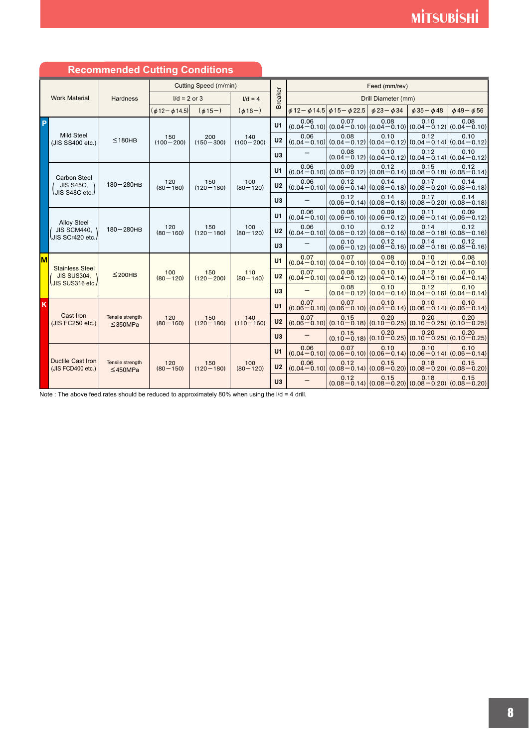|    |                                               | <b>Recommended Cutting Conditions</b> |                         |                       |                      |                |      |                                                 |                      |                                                                                         |                      |
|----|-----------------------------------------------|---------------------------------------|-------------------------|-----------------------|----------------------|----------------|------|-------------------------------------------------|----------------------|-----------------------------------------------------------------------------------------|----------------------|
|    |                                               |                                       |                         | Cutting Speed (m/min) |                      |                |      |                                                 | Feed (mm/rev)        |                                                                                         |                      |
|    | <b>Work Material</b>                          | <b>Hardness</b>                       | $1/d = 2$ or 3          |                       | $I/d = 4$            | <b>Breaker</b> |      |                                                 | Drill Diameter (mm)  |                                                                                         |                      |
|    |                                               |                                       | $(\phi 12 - \phi 14.5)$ | $(\phi 15-)$          | $(\phi 16-)$         |                |      | $\phi$ 12 – $\phi$ 14.5 $\phi$ 15 – $\phi$ 22.5 | $\phi$ 23- $\phi$ 34 | $\phi$ 35 - $\phi$ 48                                                                   | $\phi$ 49- $\phi$ 56 |
| P  |                                               |                                       |                         |                       |                      | U1             | 0.06 | 0.07                                            | 0.08                 | 0.10<br>$(0.04 - 0.10)$ $(0.04 - 0.10)$ $(0.04 - 0.10)$ $(0.04 - 0.12)$ $(0.04 - 0.10)$ | 0.08                 |
|    | <b>Mild Steel</b><br>(JIS SS400 etc.)         | ≤180HB                                | 150<br>$(100 - 200)$    | 200<br>$(150 - 300)$  | 140<br>$(100 - 200)$ | U <sub>2</sub> | 0.06 | 0.08                                            | 0.10                 | 0.12<br>$(0.04 - 0.10)$ $(0.04 - 0.12)$ $(0.04 - 0.12)$ $(0.04 - 0.14)$ $(0.04 - 0.12)$ | 0.10                 |
|    |                                               |                                       |                         |                       |                      | U <sub>3</sub> |      | 0.08                                            | 0.10                 | 0.12<br>$(0.04 - 0.12)$ $(0.04 - 0.12)$ $(0.04 - 0.14)$ $(0.04 - 0.12)$                 | 0.10                 |
|    | Carbon Steel                                  |                                       |                         |                       |                      | U1             | 0.06 | 0.09                                            | 0.12                 | 0.15<br>$(0.04 - 0.10)$ $(0.06 - 0.12)$ $(0.08 - 0.14)$ $(0.08 - 0.18)$ $(0.08 - 0.14)$ | 0.12                 |
|    | <b>JIS S45C.</b><br>∖JIS S48C etc. <i>l</i>   | $180 - 280$ HB                        | 120<br>$(80 - 160)$     | 150<br>$(120 - 180)$  | 100<br>$(80 - 120)$  | U <sub>2</sub> | 0.06 | 0.12                                            | 0.14                 | 0.17<br>$(0.04 - 0.10)$ $(0.06 - 0.14)$ $(0.08 - 0.18)$ $(0.08 - 0.20)$ $(0.08 - 0.18)$ | 0.14                 |
|    |                                               |                                       |                         |                       |                      | U3             |      | 0.12                                            | 0.14                 | 0.17<br>$(0.06 - 0.14) (0.08 - 0.18) (0.08 - 0.20) (0.08 - 0.18)$                       | 0.14                 |
|    | <b>Alloy Steel</b>                            |                                       |                         |                       |                      | U1             | 0.06 | 0.08                                            | 0.09                 | 0.11<br>$(0.04 - 0.10) (0.06 - 0.10) (0.06 - 0.12) (0.06 - 0.14) (0.06 - 0.12)$         | 0.09                 |
|    | JIS SCM440, \<br>JIS SCr420 etc./             | $180 - 280$ HB                        | 120<br>$(80 - 160)$     | 150<br>$(120 - 180)$  | 100<br>$(80 - 120)$  | U <sub>2</sub> | 0.06 | 0.10                                            | 0.12                 | 0.14<br>$(0.04 - 0.10)$ $(0.06 - 0.12)$ $(0.08 - 0.16)$ $(0.08 - 0.18)$ $(0.08 - 0.16)$ | 0.12                 |
|    |                                               |                                       |                         |                       |                      | U <sub>3</sub> |      | 0.10                                            | 0.12                 | 0.14<br>$(0.06 - 0.12)$ $(0.08 - 0.16)$ $(0.08 - 0.18)$ $(0.08 - 0.16)$                 | 0.12                 |
| lм | <b>Stainless Steel</b>                        |                                       |                         |                       |                      | U1             | 0.07 | 0.07                                            | 0.08                 | 0.10<br>$(0.04 - 0.10)$ $(0.04 - 0.10)$ $(0.04 - 0.10)$ $(0.04 - 0.12)$ $(0.04 - 0.10)$ | 0.08                 |
|    | JIS SUS304,<br>UIS SUS316 etc./               | $≤$ 200HB                             | 100<br>$(80 - 120)$     | 150<br>$(120 - 200)$  | 110<br>$(80 - 140)$  | U <sub>2</sub> | 0.07 | 0.08                                            | 0.10                 | 0.12<br>$(0.04 - 0.10)$ $(0.04 - 0.12)$ $(0.04 - 0.14)$ $(0.04 - 0.16)$ $(0.04 - 0.14)$ | 0.10                 |
|    |                                               |                                       |                         |                       |                      | U3             |      | 0.08                                            | 0.10                 | 0.12<br>$(0.04 - 0.12)$ $(0.04 - 0.14)$ $(0.04 - 0.16)$ $(0.04 - 0.14)$                 | 0.10                 |
| K  |                                               |                                       |                         |                       |                      | U1             | 0.07 | 0.07                                            | 0.10                 | 0.10<br>$(0.06 - 0.10)$ $(0.06 - 0.10)$ $(0.04 - 0.14)$ $(0.06 - 0.14)$ $(0.06 - 0.14)$ | 0.10                 |
|    | Cast Iron<br>(JIS FC250 etc.)                 | Tensile strength<br>$\leq$ 350MPa     | 120<br>$(80 - 160)$     | 150<br>$(120 - 180)$  | 140<br>$(110 - 160)$ | U <sub>2</sub> | 0.07 | 0.15                                            | 0.20                 | 0.20<br>$(0.06 - 0.10)$ $(0.10 - 0.18)$ $(0.10 - 0.25)$ $(0.10 - 0.25)$ $(0.10 - 0.25)$ | 0.20                 |
|    |                                               |                                       |                         |                       |                      | U3             |      | 0.15                                            | 0.20                 | 0.20<br>$(0.10 - 0.18)$ $(0.10 - 0.25)$ $(0.10 - 0.25)$ $(0.10 - 0.25)$                 | 0.20                 |
|    |                                               |                                       |                         |                       |                      | U1             | 0.06 | 0.07                                            | 0.10                 | 0.10<br>$(0.04 - 0.10)$ $(0.06 - 0.10)$ $(0.06 - 0.14)$ $(0.06 - 0.14)$ $(0.06 - 0.14)$ | 0.10                 |
|    | <b>Ductile Cast Iron</b><br>(JIS FCD400 etc.) | Tensile strength<br>$≤$ 450MPa        | 120<br>$(80 - 150)$     | 150<br>$(120 - 180)$  | 100<br>$(80 - 120)$  | U <sub>2</sub> | 0.06 | 0.12                                            | 0.15                 | 0.18<br>$(0.04 - 0.10)$ $(0.08 - 0.14)$ $(0.08 - 0.20)$ $(0.08 - 0.20)$ $(0.08 - 0.20)$ | 0.15                 |
|    |                                               |                                       |                         |                       |                      | U3             |      | 0.12                                            | 0.15                 | 0.18<br>$(0.08 - 0.14) (0.08 - 0.20) (0.08 - 0.20) (0.08 - 0.20)$                       | 0.15                 |

### **Recommended Cutting Conditions**

Note : The above feed rates should be reduced to approximately 80% when using the  $1/d = 4$  drill.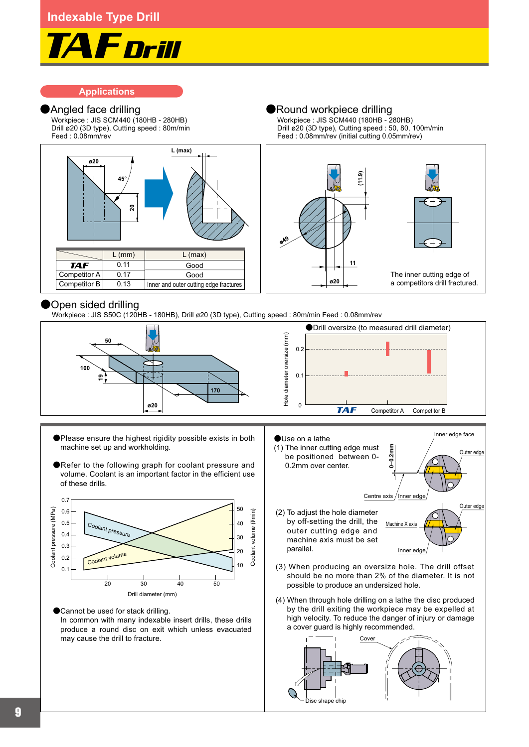

### **Applications**

Workpiece : JIS SCM440 (180HB - 280HB) Drill ø20 (3D type), Cutting speed : 80m/min Feed : 0.08mm/rev

**Angled face drilling and all and all angles are available and all angles are available and all angles are available and all angles are available and all angles are available and all angles are available and all angles ar** Workpiece : JIS SCM440 (180HB - 280HB) Drill ø20 (3D type), Cutting speed : 50, 80, 100m/min Feed : 0.08mm/rev (initial cutting 0.05mm/rev)



### Open sided drilling

Workpiece : JIS S50C (120HB - 180HB), Drill ø20 (3D type), Cutting speed : 80m/min Feed : 0.08mm/rev



- ǡPlease ensure the highest rigidity possible exists in both machine set up and workholding.
- ●Refer to the following graph for coolant pressure and volume. Coolant is an important factor in the efficient use of these drills.



●Cannot be used for stack drilling. In common with many indexable insert drills, these drills produce a round disc on exit which unless evacuated may cause the drill to fracture.

- **0–0.2mm** ǡUse on a lathe (1) The inner cutting edge must be positioned between 0- 0.2mm over center. Centre axis Inner edge face Inner edge Outer edge Outer edge
- Machine X axi (2) To adjust the hole diameter by off-setting the drill, the outer cutting edge and machine axis must be set parallel.
- (3) When producing an oversize hole. The drill offset should be no more than 2% of the diameter. It is not possible to produce an undersized hole.

Inner edge

(4) When through hole drilling on a lathe the disc produced by the drill exiting the workpiece may be expelled at high velocity. To reduce the danger of injury or damage a cover guard is highly recommended.

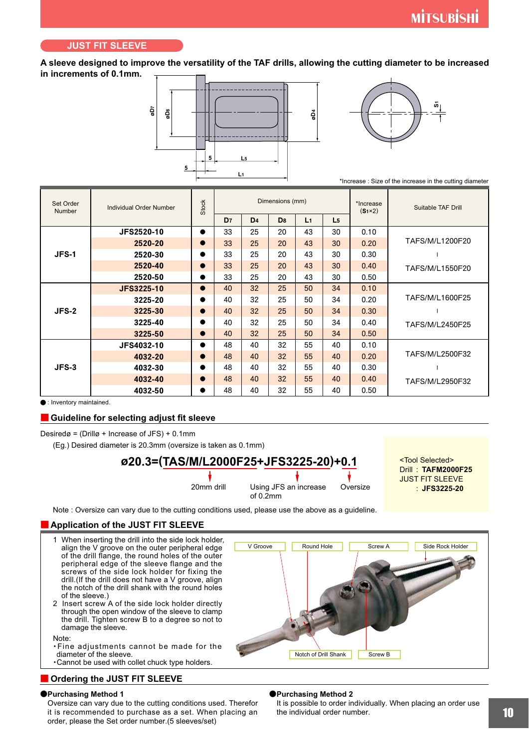#### **JUST FIT SLEEVE**

**A sleeve designed to improve the versatility of the TAF drills, allowing the cutting diameter to be increased in increments of 0.1mm.**





\*Increase : Size of the increase in the cutting diameter

| Set Order<br>Number | Individual Order Number | <b>Stock</b> |                |                 | Dimensions (mm) |                |                | *Increase<br>$(S_1 \times 2)$ | Suitable TAF Drill |
|---------------------|-------------------------|--------------|----------------|-----------------|-----------------|----------------|----------------|-------------------------------|--------------------|
|                     |                         |              | D <sub>7</sub> | D <sub>4</sub>  | D <sub>8</sub>  | L <sub>1</sub> | L <sub>5</sub> |                               |                    |
|                     | <b>JFS2520-10</b>       | $\bullet$    | 33             | 25              | 20              | 43             | 30             | 0.10                          |                    |
|                     | 2520-20                 | $\bullet$    | 33             | 25              | 20              | 43             | 30             | 0.20                          | TAFS/M/L1200F20    |
| JFS-1               | 2520-30                 | $\bullet$    | 33             | 25              | 20              | 43             | 30             | 0.30                          |                    |
|                     | 2520-40                 | $\bullet$    | 33             | 25              | 20              | 43             | 30             | 0.40                          | TAFS/M/L1550F20    |
|                     | 2520-50                 | $\bullet$    | 33             | 25              | 20              | 43             | 30             | 0.50                          |                    |
|                     | <b>JFS3225-10</b>       | $\bullet$    | 40             | 32 <sup>2</sup> | 25              | 50             | 34             | 0.10                          |                    |
|                     | 3225-20                 | $\bullet$    | 40             | 32              | 25              | 50             | 34             | 0.20                          | TAFS/M/L1600F25    |
| $JFS-2$             | 3225-30                 | $\bullet$    | 40             | 32 <sup>2</sup> | 25              | 50             | 34             | 0.30                          |                    |
|                     | 3225-40                 | $\bullet$    | 40             | 32              | 25              | 50             | 34             | 0.40                          | TAFS/M/L2450F25    |
|                     | 3225-50                 | $\bullet$    | 40             | 32              | 25              | 50             | 34             | 0.50                          |                    |
|                     | JFS4032-10              | $\bullet$    | 48             | 40              | 32              | 55             | 40             | 0.10                          |                    |
|                     | 4032-20                 | $\bullet$    | 48             | 40              | 32              | 55             | 40             | 0.20                          | TAFS/M/L2500F32    |
| $JFS-3$             | 4032-30                 |              | 48             | 40              | 32              | 55             | 40             | 0.30                          |                    |
|                     | 4032-40                 | $\bullet$    | 48             | 40              | 32              | 55             | 40             | 0.40                          | TAFS/M/L2950F32    |
|                     | 4032-50                 |              | 48             | 40              | 32              | 55             | 40             | 0.50                          |                    |

**•** : Inventory maintained.

#### Ǘ **Guideline for selecting adjust fit sleeve**

Desiredø = (Drillø + Increase of JFS) + 0.1mm

(Eg.) Desired diameter is 20.3mm (oversize is taken as 0.1mm)

## **ø20.3=(TAS/M/L2000F25+JFS3225-20)+0.1**

20mm drill Using JFS an increase of 0.2mm Oversize

**TAFM2000F25** Drill : **JFS3225-20** : <Tool Selected> JUST FIT SLEEVE

Note : Oversize can vary due to the cutting conditions used, please use the above as a guideline.

#### **E** Application of the JUST FIT SLEEVE

1 When inserting the drill into the side lock holder, align the V groove on the outer peripheral edge of the drill flange, the round holes of the outer peripheral edge of the sleeve flange and the screws of the side lock holder for fixing the drill.(If the drill does not have a V groove, align the notch of the drill shank with the round holes of the sleeve.) 2 Insert screw A of the side lock holder directly through the open window of the sleeve to clamp the drill. Tighten screw B to a degree so not to damage the sleeve. Note: ʮFine adjustments cannot be made for the diameter of the sleeve. ʮCannot be used with collet chuck type holders. V Groove Round Hole Notch of Drill Shank Screw B Screw A Side Rock Holder

#### **Ordering the JUST FIT SLEEVE**

#### ǡ**Purchasing Method 1**

Oversize can vary due to the cutting conditions used. Therefor it is recommended to purchase as a set. When placing an order, please the Set order number.(5 sleeves/set)

#### ǡ**Purchasing Method 2**

It is possible to order individually. When placing an order use the individual order number.